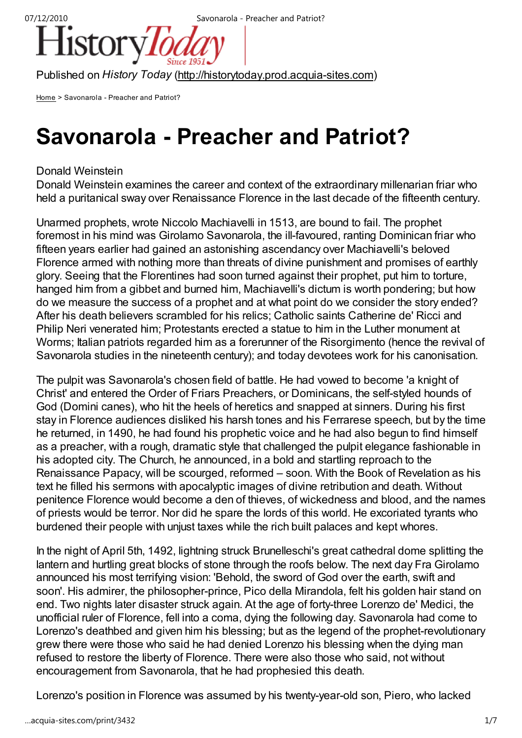

Published on History Today (http://historytoday.prod.acquia-sites.com)

Home > Savonarola - Preacher and Patriot?

# Savonarola - Preacher and Patriot?

# Donald Weinstein

Donald Weinstein examines the career and context of the extraordinary millenarian friar who held a puritanical sway over Renaissance Florence in the last decade of the fifteenth century.

Unarmed prophets, wrote Niccolo Machiavelli in 1513, are bound to fail. The prophet foremost in his mind was Girolamo Savonarola, the ill-favoured, ranting Dominican friar who fifteen years earlier had gained an astonishing ascendancy over Machiavelli's beloved Florence armed with nothing more than threats of divine punishment and promises of earthly glory. Seeing that the Florentines had soon turned against their prophet, put him to torture, hanged him from a gibbet and burned him, Machiavelli's dictum is worth pondering; but how do we measure the success of a prophet and at what point do we consider the story ended? After his death believers scrambled for his relics; Catholic saints Catherine de' Ricci and Philip Neri venerated him; Protestants erected a statue to him in the Luther monument at Worms; Italian patriots regarded him as a forerunner of the Risorgimento (hence the revival of Savonarola studies in the nineteenth century); and today devotees work for his canonisation.

The pulpit was Savonarola's chosen field of battle. He had vowed to become 'a knight of Christ' and entered the Order of Friars Preachers, or Dominicans, the self-styled hounds of God (Domini canes), who hit the heels of heretics and snapped at sinners. During his first stay in Florence audiences disliked his harsh tones and his Ferrarese speech, but by the time he returned, in 1490, he had found his prophetic voice and he had also begun to find himself as a preacher, with a rough, dramatic style that challenged the pulpit elegance fashionable in his adopted city. The Church, he announced, in a bold and startling reproach to the Renaissance Papacy, will be scourged, reformed – soon. With the Book of Revelation as his text he filled his sermons with apocalyptic images of divine retribution and death. Without penitence Florence would become a den of thieves, of wickedness and blood, and the names of priests would be terror. Nor did he spare the lords of this world. He excoriated tyrants who burdened their people with unjust taxes while the rich built palaces and kept whores.

In the night of April 5th, 1492, lightning struck Brunelleschi's great cathedral dome splitting the lantern and hurtling great blocks of stone through the roofs below. The next day Fra Girolamo announced his most terrifying vision: 'Behold, the sword of God over the earth, swift and soon'. His admirer, the philosopher-prince, Pico della Mirandola, felt his golden hair stand on end. Two nights later disaster struck again. At the age of forty-three Lorenzo de' Medici, the unofficial ruler of Florence, fell into a coma, dying the following day. Savonarola had come to Lorenzo's deathbed and given him his blessing; but as the legend of the prophet-revolutionary grew there were those who said he had denied Lorenzo his blessing when the dying man refused to restore the liberty of Florence. There were also those who said, not without encouragement from Savonarola, that he had prophesied this death.

Lorenzo's position in Florence was assumed by his twenty-year-old son, Piero, who lacked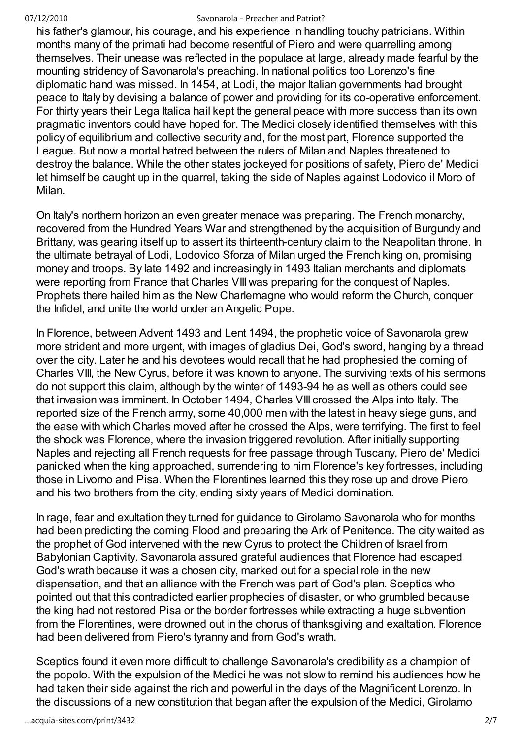his father's glamour, his courage, and his experience in handling touchy patricians. Within months many of the primati had become resentful of Piero and were quarrelling among themselves. Their unease was reflected in the populace at large, already made fearful by the mounting stridency of Savonarola's preaching. In national politics too Lorenzo's fine diplomatic hand was missed. In 1454, at Lodi, the major Italian governments had brought peace to Italy by devising a balance of power and providing for its co-operative enforcement. For thirty years their Lega Italica hail kept the general peace with more success than its own pragmatic inventors could have hoped for. The Medici closely identified themselves with this policy of equilibrium and collective security and, for the most part, Florence supported the League. But now a mortal hatred between the rulers of Milan and Naples threatened to destroy the balance. While the other states jockeyed for positions of safety, Piero de' Medici let himself be caught up in the quarrel, taking the side of Naples against Lodovico il Moro of Milan.

On Italy's northern horizon an even greater menace was preparing. The French monarchy, recovered from the Hundred Years War and strengthened by the acquisition of Burgundy and Brittany, was gearing itself up to assert its thirteenth-century claim to the Neapolitan throne. In the ultimate betrayal of Lodi, Lodovico Sforza of Milan urged the French king on, promising money and troops. By late 1492 and increasingly in 1493 Italian merchants and diplomats were reporting from France that Charles VIII was preparing for the conquest of Naples. Prophets there hailed him as the New Charlemagne who would reform the Church, conquer the Infidel, and unite the world under an Angelic Pope.

In Florence, between Advent 1493 and Lent 1494, the prophetic voice of Savonarola grew more strident and more urgent, with images of gladius Dei, God's sword, hanging by a thread over the city. Later he and his devotees would recall that he had prophesied the coming of Charles VIII, the New Cyrus, before it was known to anyone. The surviving texts of his sermons do not support this claim, although by the winter of 1493-94 he as well as others could see that invasion was imminent. In October 1494, Charles VIII crossed the Alps into Italy. The reported size of the French army, some 40,000 men with the latest in heavy siege guns, and the ease with which Charles moved after he crossed the Alps, were terrifying. The first to feel the shock was Florence, where the invasion triggered revolution. After initially supporting Naples and rejecting all French requests for free passage through Tuscany, Piero de' Medici panicked when the king approached, surrendering to him Florence's key fortresses, including those in Livorno and Pisa. When the Florentines learned this they rose up and drove Piero and his two brothers from the city, ending sixty years of Medici domination.

In rage, fear and exultation they turned for guidance to Girolamo Savonarola who for months had been predicting the coming Flood and preparing the Ark of Penitence. The city waited as the prophet of God intervened with the new Cyrus to protect the Children of Israel from Babylonian Captivity. Savonarola assured grateful audiences that Florence had escaped God's wrath because it was a chosen city, marked out for a special role in the new dispensation, and that an alliance with the French was part of God's plan. Sceptics who pointed out that this contradicted earlier prophecies of disaster, or who grumbled because the king had not restored Pisa or the border fortresses while extracting a huge subvention from the Florentines, were drowned out in the chorus of thanksgiving and exaltation. Florence had been delivered from Piero's tyranny and from God's wrath.

Sceptics found it even more difficult to challenge Savonarola's credibility as a champion of the popolo. With the expulsion of the Medici he was not slow to remind his audiences how he had taken their side against the rich and powerful in the days of the Magnificent Lorenzo. In the discussions of a new constitution that began after the expulsion of the Medici, Girolamo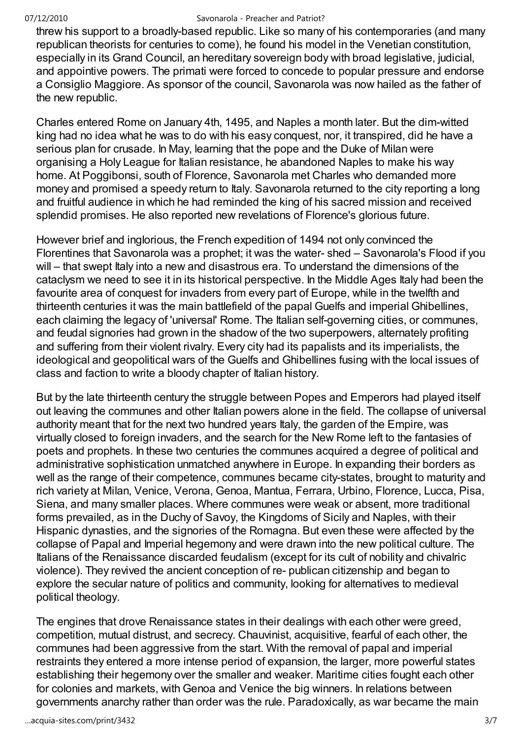threw his support to a broadly-based republic. Like so many of his contemporaries (and many republican theorists for centuries to come), he found his model in the Venetian constitution, especially in its Grand Council, an hereditary sovereign body with broad legislative, judicial, and appointive powers. The primati were forced to concede to popular pressure and endorse a Consiglio Maggiore. As sponsor of the council, Savonarola was now hailed as the father of the new republic.

Charles entered Rome on January 4th, 1495, and Naples a month later. But the dim-witted king had no idea what he was to do with his easy conquest, nor, it transpired, did he have a serious plan for crusade. In May, learning that the pope and the Duke of Milan were organising a Holy League for Italian resistance, he abandoned Naples to make his way home. At Poggibonsi, south of Florence, Savonarola met Charles who demanded more money and promised a speedy return to Italy. Savonarola returned to the city reporting a long and fruitful audience in which he had reminded the king of his sacred mission and received splendid promises. He also reported new revelations of Florence's glorious future.

However brief and inglorious, the French expedition of 1494 not only convinced the Florentines that Savonarola was a prophet; it was the water- shed – Savonarola's Flood if you will – that swept Italy into a new and disastrous era. To understand the dimensions of the cataclysm we need to see it in its historical perspective. In the Middle Ages Italy had been the favourite area of conquest for invaders from every part of Europe, while in the twelfth and thirteenth centuries it was the main battlefield of the papal Guelfs and imperial Ghibellines, each claiming the legacy of 'universal' Rome. The Italian self-governing cities, or communes, and feudal signories had grown in the shadow of the two superpowers, alternately profiting and suffering from their violent rivalry. Every city had its papalists and its imperialists, the ideological and geopolitical wars of the Guelfs and Ghibellines fusing with the local issues of class and faction to write a bloody chapter of Italian history.

But by the late thirteenth century the struggle between Popes and Emperors had played itself out leaving the communes and other Italian powers alone in the field. The collapse of universal authority meant that for the next two hundred years Italy, the garden of the Empire, was virtually closed to foreign invaders, and the search for the New Rome left to the fantasies of poets and prophets. In these two centuries the communes acquired a degree of political and administrative sophistication unmatched anywhere in Europe. In expanding their borders as well as the range of their competence, communes became city-states, brought to maturity and rich variety at Milan, Venice, Verona, Genoa, Mantua, Ferrara, Urbino, Florence, Lucca, Pisa, Siena, and many smaller places. Where communes were weak or absent, more traditional forms prevailed, as in the Duchy of Savoy, the Kingdoms of Sicily and Naples, with their Hispanic dynasties, and the signories of the Romagna. But even these were affected by the collapse of Papal and Imperial hegemony and were drawn into the new political culture. The Italians of the Renaissance discarded feudalism (except for its cult of nobility and chivalric violence). They revived the ancient conception of re- publican citizenship and began to explore the secular nature of politics and community, looking for alternatives to medieval political theology.

The engines that drove Renaissance states in their dealings with each other were greed, competition, mutual distrust, and secrecy. Chauvinist, acquisitive, fearful of each other, the communes had been aggressive from the start. With the removal of papal and imperial restraints they entered a more intense period of expansion, the larger, more powerful states establishing their hegemony over the smaller and weaker. Maritime cities fought each other for colonies and markets, with Genoa and Venice the big winners. In relations between governments anarchy rather than order was the rule. Paradoxically, as war became the main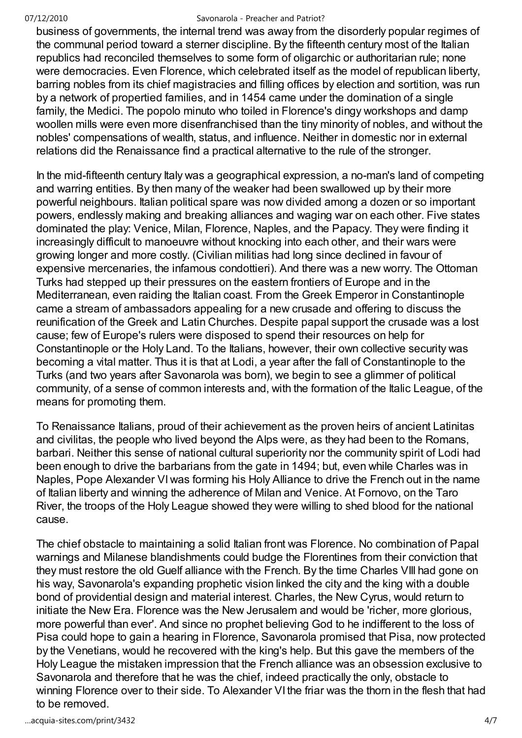business of governments, the internal trend was away from the disorderly popular regimes of the communal period toward a sterner discipline. By the fifteenth century most of the Italian republics had reconciled themselves to some form of oligarchic or authoritarian rule; none were democracies. Even Florence, which celebrated itself as the model of republican liberty, barring nobles from its chief magistracies and filling offices by election and sortition, was run by a network of propertied families, and in 1454 came under the domination of a single family, the Medici. The popolo minuto who toiled in Florence's dingy workshops and damp woollen mills were even more disenfranchised than the tiny minority of nobles, and without the nobles' compensations of wealth, status, and influence. Neither in domestic nor in external relations did the Renaissance find a practical alternative to the rule of the stronger.

In the mid-fifteenth century Italy was a geographical expression, a no-man's land of competing and warring entities. By then many of the weaker had been swallowed up by their more powerful neighbours. Italian political spare was now divided among a dozen or so important powers, endlessly making and breaking alliances and waging war on each other. Five states dominated the play: Venice, Milan, Florence, Naples, and the Papacy. They were finding it increasingly difficult to manoeuvre without knocking into each other, and their wars were growing longer and more costly. (Civilian militias had long since declined in favour of expensive mercenaries, the infamous condottieri). And there was a new worry. The Ottoman Turks had stepped up their pressures on the eastern frontiers of Europe and in the Mediterranean, even raiding the Italian coast. From the Greek Emperor in Constantinople came a stream of ambassadors appealing for a new crusade and offering to discuss the reunification of the Greek and Latin Churches. Despite papal support the crusade was a lost cause; few of Europe's rulers were disposed to spend their resources on help for Constantinople or the Holy Land. To the Italians, however, their own collective security was becoming a vital matter. Thus it is that at Lodi, a year after the fall of Constantinople to the Turks (and two years after Savonarola was born), we begin to see a glimmer of political community, of a sense of common interests and, with the formation of the Italic League, of the means for promoting them.

To Renaissance Italians, proud of their achievement as the proven heirs of ancient Latinitas and civilitas, the people who lived beyond the Alps were, as they had been to the Romans, barbari. Neither this sense of national cultural superiority nor the community spirit of Lodi had been enough to drive the barbarians from the gate in 1494; but, even while Charles was in Naples, Pope Alexander VI was forming his Holy Alliance to drive the French out in the name of Italian liberty and winning the adherence of Milan and Venice. At Fornovo, on the Taro River, the troops of the Holy League showed they were willing to shed blood for the national cause.

The chief obstacle to maintaining a solid Italian front was Florence. No combination of Papal warnings and Milanese blandishments could budge the Florentines from their conviction that they must restore the old Guelf alliance with the French. By the time Charles VIII had gone on his way, Savonarola's expanding prophetic vision linked the city and the king with a double bond of providential design and material interest. Charles, the New Cyrus, would return to initiate the New Era. Florence was the New Jerusalem and would be 'richer, more glorious, more powerful than ever'. And since no prophet believing God to he indifferent to the loss of Pisa could hope to gain a hearing in Florence, Savonarola promised that Pisa, now protected by the Venetians, would he recovered with the king's help. But this gave the members of the Holy League the mistaken impression that the French alliance was an obsession exclusive to Savonarola and therefore that he was the chief, indeed practically the only, obstacle to winning Florence over to their side. To Alexander VI the friar was the thorn in the flesh that had to be removed.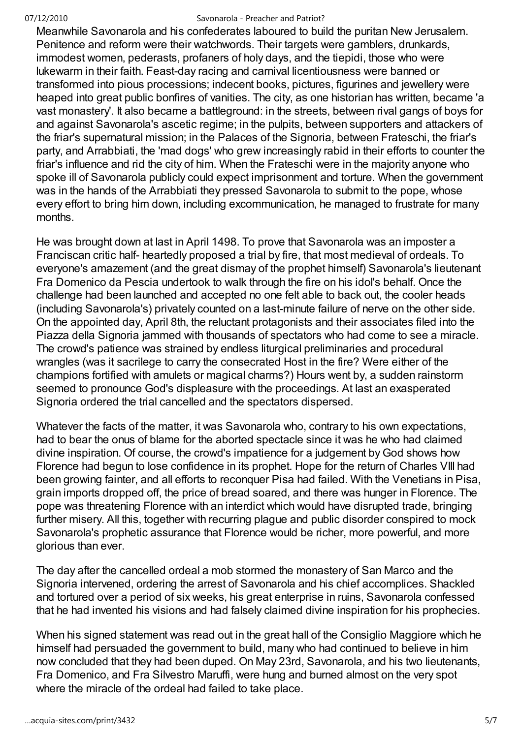Meanwhile Savonarola and his confederates laboured to build the puritan New Jerusalem. Penitence and reform were their watchwords. Their targets were gamblers, drunkards, immodest women, pederasts, profaners of holy days, and the tiepidi, those who were lukewarm in their faith. Feast-day racing and carnival licentiousness were banned or transformed into pious processions; indecent books, pictures, figurines and jewellery were heaped into great public bonfires of vanities. The city, as one historian has written, became 'a vast monastery'. It also became a battleground: in the streets, between rival gangs of boys for and against Savonarola's ascetic regime; in the pulpits, between supporters and attackers of the friar's supernatural mission; in the Palaces of the Signoria, between Frateschi, the friar's party, and Arrabbiati, the 'mad dogs' who grew increasingly rabid in their efforts to counter the friar's influence and rid the city of him. When the Frateschi were in the majority anyone who spoke ill of Savonarola publicly could expect imprisonment and torture. When the government was in the hands of the Arrabbiati they pressed Savonarola to submit to the pope, whose every effort to bring him down, including excommunication, he managed to frustrate for many months.

He was brought down at last in April 1498. To prove that Savonarola was an imposter a Franciscan critic half- heartedly proposed a trial by fire, that most medieval of ordeals. To everyone's amazement (and the great dismay of the prophet himself) Savonarola's lieutenant Fra Domenico da Pescia undertook to walk through the fire on his idol's behalf. Once the challenge had been launched and accepted no one felt able to back out, the cooler heads (including Savonarola's) privately counted on a last-minute failure of nerve on the other side. On the appointed day, April 8th, the reluctant protagonists and their associates filed into the Piazza della Signoria jammed with thousands of spectators who had come to see a miracle. The crowd's patience was strained by endless liturgical preliminaries and procedural wrangles (was it sacrilege to carry the consecrated Host in the fire? Were either of the champions fortified with amulets or magical charms?) Hours went by, a sudden rainstorm seemed to pronounce God's displeasure with the proceedings. At last an exasperated Signoria ordered the trial cancelled and the spectators dispersed.

Whatever the facts of the matter, it was Savonarola who, contrary to his own expectations, had to bear the onus of blame for the aborted spectacle since it was he who had claimed divine inspiration. Of course, the crowd's impatience for a judgement by God shows how Florence had begun to lose confidence in its prophet. Hope for the return of Charles VIII had been growing fainter, and all efforts to reconquer Pisa had failed. With the Venetians in Pisa, grain imports dropped off, the price of bread soared, and there was hunger in Florence. The pope was threatening Florence with an interdict which would have disrupted trade, bringing further misery. All this, together with recurring plague and public disorder conspired to mock Savonarola's prophetic assurance that Florence would be richer, more powerful, and more glorious than ever.

The day after the cancelled ordeal a mob stormed the monastery of San Marco and the Signoria intervened, ordering the arrest of Savonarola and his chief accomplices. Shackled and tortured over a period of six weeks, his great enterprise in ruins, Savonarola confessed that he had invented his visions and had falsely claimed divine inspiration for his prophecies.

When his signed statement was read out in the great hall of the Consiglio Maggiore which he himself had persuaded the government to build, many who had continued to believe in him now concluded that they had been duped. On May 23rd, Savonarola, and his two lieutenants, Fra Domenico, and Fra Silvestro Maruffi, were hung and burned almost on the very spot where the miracle of the ordeal had failed to take place.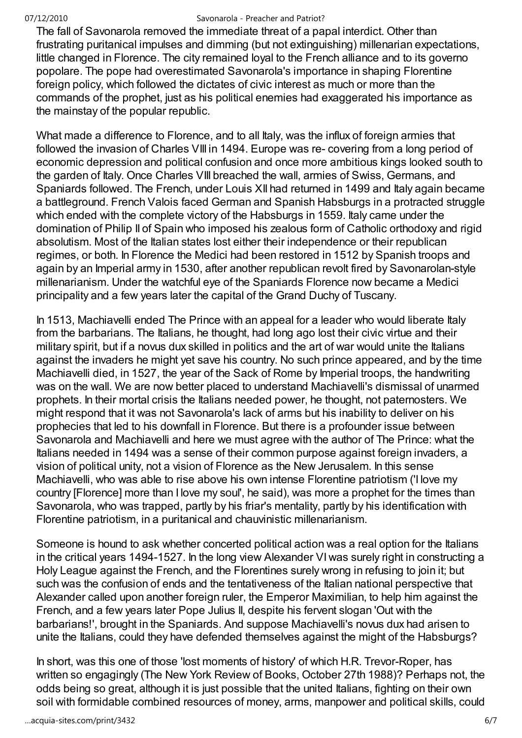The fall of Savonarola removed the immediate threat of a papal interdict. Other than frustrating puritanical impulses and dimming (but not extinguishing) millenarian expectations, little changed in Florence. The city remained loyal to the French alliance and to its governo popolare. The pope had overestimated Savonarola's importance in shaping Florentine foreign policy, which followed the dictates of civic interest as much or more than the commands of the prophet, just as his political enemies had exaggerated his importance as the mainstay of the popular republic.

What made a difference to Florence, and to all Italy, was the influx of foreign armies that followed the invasion of Charles VIII in 1494. Europe was re- covering from a long period of economic depression and political confusion and once more ambitious kings looked south to the garden of Italy. Once Charles VIII breached the wall, armies of Swiss, Germans, and Spaniards followed. The French, under Louis XII had returned in 1499 and Italy again became a battleground. French Valois faced German and Spanish Habsburgs in a protracted struggle which ended with the complete victory of the Habsburgs in 1559. Italy came under the domination of Philip II of Spain who imposed his zealous form of Catholic orthodoxy and rigid absolutism. Most of the Italian states lost either their independence or their republican regimes, or both. In Florence the Medici had been restored in 1512 by Spanish troops and again by an Imperial army in 1530, after another republican revolt fired by Savonarolan-style millenarianism. Under the watchful eye of the Spaniards Florence now became a Medici principality and a few years later the capital of the Grand Duchy of Tuscany.

In 1513, Machiavelli ended The Prince with an appeal for a leader who would liberate Italy from the barbarians. The Italians, he thought, had long ago lost their civic virtue and their military spirit, but if a novus dux skilled in politics and the art of war would unite the Italians against the invaders he might yet save his country. No such prince appeared, and by the time Machiavelli died, in 1527, the year of the Sack of Rome by Imperial troops, the handwriting was on the wall. We are now better placed to understand Machiavelli's dismissal of unarmed prophets. In their mortal crisis the Italians needed power, he thought, not paternosters. We might respond that it was not Savonarola's lack of arms but his inability to deliver on his prophecies that led to his downfall in Florence. But there is a profounder issue between Savonarola and Machiavelli and here we must agree with the author of The Prince: what the Italians needed in 1494 was a sense of their common purpose against foreign invaders, a vision of political unity, not a vision of Florence as the New Jerusalem. In this sense Machiavelli, who was able to rise above his own intense Florentine patriotism ('I love my country [Florence] more than I love my soul', he said), was more a prophet for the times than Savonarola, who was trapped, partly by his friar's mentality, partly by his identification with Florentine patriotism, in a puritanical and chauvinistic millenarianism.

Someone is hound to ask whether concerted political action was a real option for the Italians in the critical years 1494-1527. In the long view Alexander VI was surely right in constructing a Holy League against the French, and the Florentines surely wrong in refusing to join it; but such was the confusion of ends and the tentativeness of the Italian national perspective that Alexander called upon another foreign ruler, the Emperor Maximilian, to help him against the French, and a few years later Pope Julius II, despite his fervent slogan 'Out with the barbarians!', brought in the Spaniards. And suppose Machiavelli's novus dux had arisen to unite the Italians, could they have defended themselves against the might of the Habsburgs?

In short, was this one of those 'lost moments of history' of which H.R. Trevor-Roper, has written so engagingly (The New York Review of Books, October 27th 1988)? Perhaps not, the odds being so great, although it is just possible that the united Italians, fighting on their own soil with formidable combined resources of money, arms, manpower and political skills, could